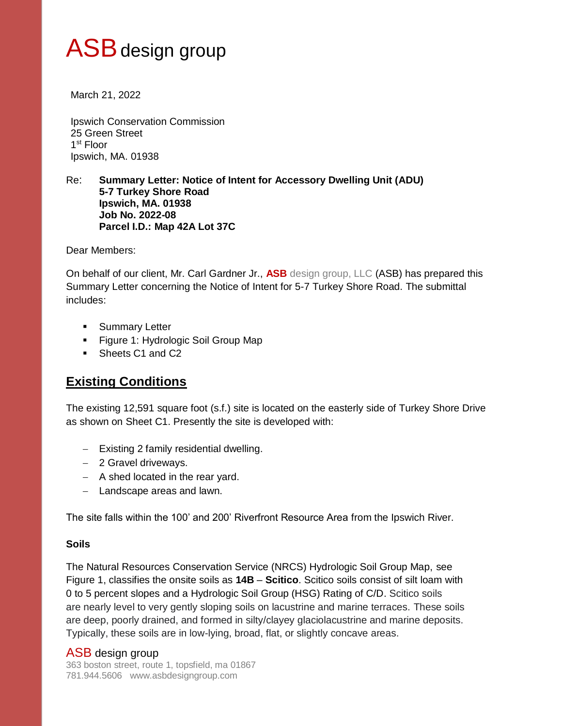# ASB design group

March 21, 2022

Ipswich Conservation Commission 25 Green Street 1 st Floor Ipswich, MA. 01938

#### Re: **Summary Letter: Notice of Intent for Accessory Dwelling Unit (ADU) 5-7 Turkey Shore Road Ipswich, MA. 01938 Job No. 2022-08 Parcel I.D.: Map 42A Lot 37C**

Dear Members:

On behalf of our client, Mr. Carl Gardner Jr., **ASB** design group, LLC (ASB) has prepared this Summary Letter concerning the Notice of Intent for 5-7 Turkey Shore Road. The submittal includes:

- **Summary Letter**
- **Figure 1: Hydrologic Soil Group Map**
- Sheets C1 and C2

# **Existing Conditions**

The existing 12,591 square foot (s.f.) site is located on the easterly side of Turkey Shore Drive as shown on Sheet C1. Presently the site is developed with:

- Existing 2 family residential dwelling.
- 2 Gravel driveways.
- $-$  A shed located in the rear yard.
- Landscape areas and lawn.

The site falls within the 100' and 200' Riverfront Resource Area from the Ipswich River.

### **Soils**

The Natural Resources Conservation Service (NRCS) Hydrologic Soil Group Map, see Figure 1, classifies the onsite soils as **14B** – **Scitico**. Scitico soils consist of silt loam with 0 to 5 percent slopes and a Hydrologic Soil Group (HSG) Rating of C/D. Scitico soils are nearly level to very gently sloping soils on lacustrine and marine terraces. These soils are deep, poorly drained, and formed in silty/clayey glaciolacustrine and marine deposits. Typically, these soils are in low-lying, broad, flat, or slightly concave areas.

## ASB design group

363 boston street, route 1, topsfield, ma 01867 781.944.5606 www.asbdesigngroup.com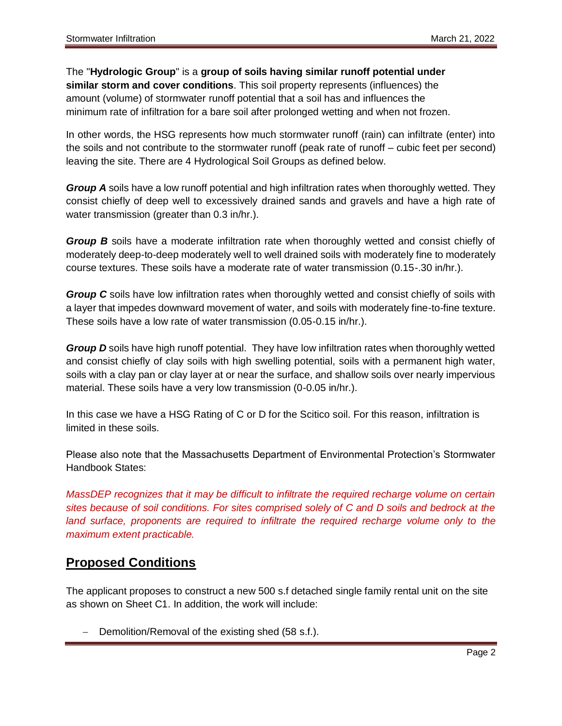## The "**Hydrologic Group**" is a **group of soils having similar runoff potential under similar storm and cover conditions**. This soil property represents (influences) the

amount (volume) of stormwater runoff potential that a soil has and influences the minimum rate of infiltration for a bare soil after prolonged wetting and when not frozen.

In other words, the HSG represents how much stormwater runoff (rain) can infiltrate (enter) into the soils and not contribute to the stormwater runoff (peak rate of runoff – cubic feet per second) leaving the site. There are 4 Hydrological Soil Groups as defined below.

*Group A* soils have a low runoff potential and high infiltration rates when thoroughly wetted. They consist chiefly of deep well to excessively drained sands and gravels and have a high rate of water transmission (greater than 0.3 in/hr.).

*Group B* soils have a moderate infiltration rate when thoroughly wetted and consist chiefly of moderately deep-to-deep moderately well to well drained soils with moderately fine to moderately course textures. These soils have a moderate rate of water transmission (0.15-.30 in/hr.).

*Group C* soils have low infiltration rates when thoroughly wetted and consist chiefly of soils with a layer that impedes downward movement of water, and soils with moderately fine-to-fine texture. These soils have a low rate of water transmission (0.05-0.15 in/hr.).

*Group D* soils have high runoff potential. They have low infiltration rates when thoroughly wetted and consist chiefly of clay soils with high swelling potential, soils with a permanent high water, soils with a clay pan or clay layer at or near the surface, and shallow soils over nearly impervious material. These soils have a very low transmission (0-0.05 in/hr.).

In this case we have a HSG Rating of C or D for the Scitico soil. For this reason, infiltration is limited in these soils.

Please also note that the Massachusetts Department of Environmental Protection's Stormwater Handbook States:

*MassDEP recognizes that it may be difficult to infiltrate the required recharge volume on certain sites because of soil conditions. For sites comprised solely of C and D soils and bedrock at the land surface, proponents are required to infiltrate the required recharge volume only to the maximum extent practicable.*

# **Proposed Conditions**

The applicant proposes to construct a new 500 s.f detached single family rental unit on the site as shown on Sheet C1. In addition, the work will include:

- Demolition/Removal of the existing shed (58 s.f.).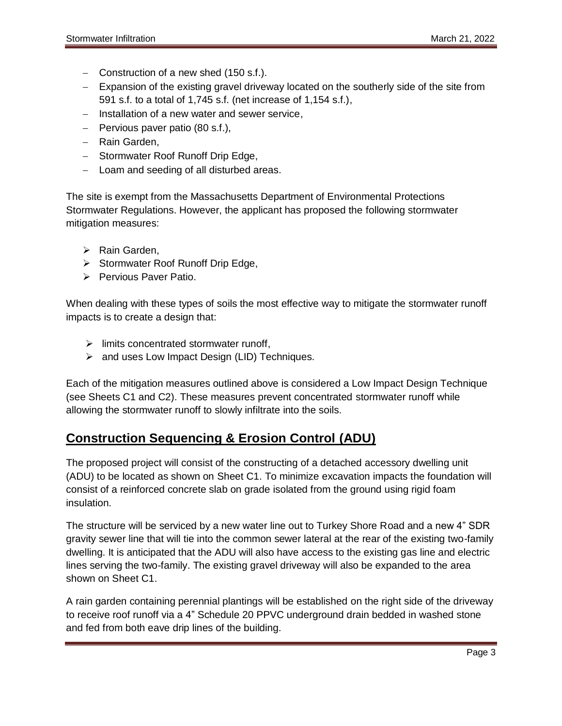- Construction of a new shed (150 s.f.).
- Expansion of the existing gravel driveway located on the southerly side of the site from 591 s.f. to a total of 1,745 s.f. (net increase of 1,154 s.f.),
- $-$  Installation of a new water and sewer service,
- $-$  Pervious paver patio (80 s.f.),
- Rain Garden,
- Stormwater Roof Runoff Drip Edge,
- Loam and seeding of all disturbed areas.

The site is exempt from the Massachusetts Department of Environmental Protections Stormwater Regulations. However, the applicant has proposed the following stormwater mitigation measures:

- $\triangleright$  Rain Garden,
- $\triangleright$  Stormwater Roof Runoff Drip Edge,
- Pervious Paver Patio.

When dealing with these types of soils the most effective way to mitigate the stormwater runoff impacts is to create a design that:

- $\triangleright$  limits concentrated stormwater runoff,
- $\triangleright$  and uses Low Impact Design (LID) Techniques.

Each of the mitigation measures outlined above is considered a Low Impact Design Technique (see Sheets C1 and C2). These measures prevent concentrated stormwater runoff while allowing the stormwater runoff to slowly infiltrate into the soils.

# **Construction Sequencing & Erosion Control (ADU)**

The proposed project will consist of the constructing of a detached accessory dwelling unit (ADU) to be located as shown on Sheet C1. To minimize excavation impacts the foundation will consist of a reinforced concrete slab on grade isolated from the ground using rigid foam insulation.

The structure will be serviced by a new water line out to Turkey Shore Road and a new 4" SDR gravity sewer line that will tie into the common sewer lateral at the rear of the existing two-family dwelling. It is anticipated that the ADU will also have access to the existing gas line and electric lines serving the two-family. The existing gravel driveway will also be expanded to the area shown on Sheet C1.

A rain garden containing perennial plantings will be established on the right side of the driveway to receive roof runoff via a 4" Schedule 20 PPVC underground drain bedded in washed stone and fed from both eave drip lines of the building.